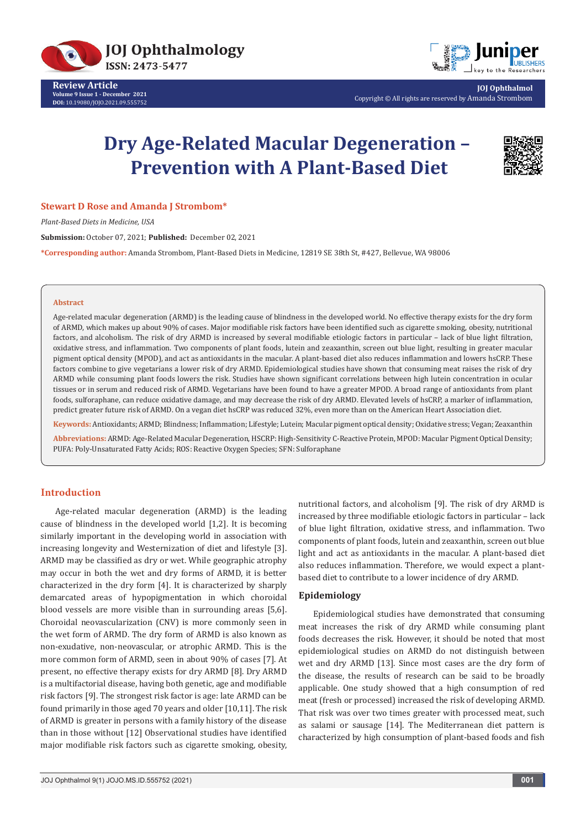

**Review Article Volume 9 Issue 1 - December 2021 DOI:** [10.19080/JOJO.2021.09.55575](http://dx.doi.org/10.19080/JOJO.2021.09.555752)2



**JOJ Ophthalmol** Copyright © All rights are reserved by Amanda Strombom

# **Dry Age-Related Macular Degeneration – Prevention with A Plant-Based Diet**



#### **Stewart D Rose and Amanda J Strombom\***

*Plant-Based Diets in Medicine, USA*

**Submission:** October 07, 2021; **Published:** December 02, 2021

**\*Corresponding author:** Amanda Strombom, Plant-Based Diets in Medicine, 12819 SE 38th St, #427, Bellevue, WA 98006

#### **Abstract**

Age-related macular degeneration (ARMD) is the leading cause of blindness in the developed world. No effective therapy exists for the dry form of ARMD, which makes up about 90% of cases. Major modifiable risk factors have been identified such as cigarette smoking, obesity, nutritional factors, and alcoholism. The risk of dry ARMD is increased by several modifiable etiologic factors in particular – lack of blue light filtration, oxidative stress, and inflammation. Two components of plant foods, lutein and zeaxanthin, screen out blue light, resulting in greater macular pigment optical density (MPOD), and act as antioxidants in the macular. A plant-based diet also reduces inflammation and lowers hsCRP. These factors combine to give vegetarians a lower risk of dry ARMD. Epidemiological studies have shown that consuming meat raises the risk of dry ARMD while consuming plant foods lowers the risk. Studies have shown significant correlations between high lutein concentration in ocular tissues or in serum and reduced risk of ARMD. Vegetarians have been found to have a greater MPOD. A broad range of antioxidants from plant foods, sulforaphane, can reduce oxidative damage, and may decrease the risk of dry ARMD. Elevated levels of hsCRP, a marker of inflammation, predict greater future risk of ARMD. On a vegan diet hsCRP was reduced 32%, even more than on the American Heart Association diet.

**Keywords:** Antioxidants; ARMD; Blindness; Inflammation; Lifestyle; Lutein; Macular pigment optical density; Oxidative stress; Vegan; Zeaxanthin

**Abbreviations:** ARMD: Age-Related Macular Degeneration, HSCRP: High-Sensitivity C-Reactive Protein, MPOD: Macular Pigment Optical Density; PUFA: Poly-Unsaturated Fatty Acids; ROS: Reactive Oxygen Species; SFN: Sulforaphane

# **Introduction**

Age-related macular degeneration (ARMD) is the leading cause of blindness in the developed world [1,2]. It is becoming similarly important in the developing world in association with increasing longevity and Westernization of diet and lifestyle [3]. ARMD may be classified as dry or wet. While geographic atrophy may occur in both the wet and dry forms of ARMD, it is better characterized in the dry form [4]. It is characterized by sharply demarcated areas of hypopigmentation in which choroidal blood vessels are more visible than in surrounding areas [5,6]. Choroidal neovascularization (CNV) is more commonly seen in the wet form of ARMD. The dry form of ARMD is also known as non-exudative, non-neovascular, or atrophic ARMD. This is the more common form of ARMD, seen in about 90% of cases [7]. At present, no effective therapy exists for dry ARMD [8]. Dry ARMD is a multifactorial disease, having both genetic, age and modifiable risk factors [9]. The strongest risk factor is age: late ARMD can be found primarily in those aged 70 years and older [10,11]. The risk of ARMD is greater in persons with a family history of the disease than in those without [12] Observational studies have identified major modifiable risk factors such as cigarette smoking, obesity,

nutritional factors, and alcoholism [9]. The risk of dry ARMD is increased by three modifiable etiologic factors in particular – lack of blue light filtration, oxidative stress, and inflammation. Two components of plant foods, lutein and zeaxanthin, screen out blue light and act as antioxidants in the macular. A plant-based diet also reduces inflammation. Therefore, we would expect a plantbased diet to contribute to a lower incidence of dry ARMD.

## **Epidemiology**

Epidemiological studies have demonstrated that consuming meat increases the risk of dry ARMD while consuming plant foods decreases the risk. However, it should be noted that most epidemiological studies on ARMD do not distinguish between wet and dry ARMD [13]. Since most cases are the dry form of the disease, the results of research can be said to be broadly applicable. One study showed that a high consumption of red meat (fresh or processed) increased the risk of developing ARMD. That risk was over two times greater with processed meat, such as salami or sausage [14]. The Mediterranean diet pattern is characterized by high consumption of plant-based foods and fish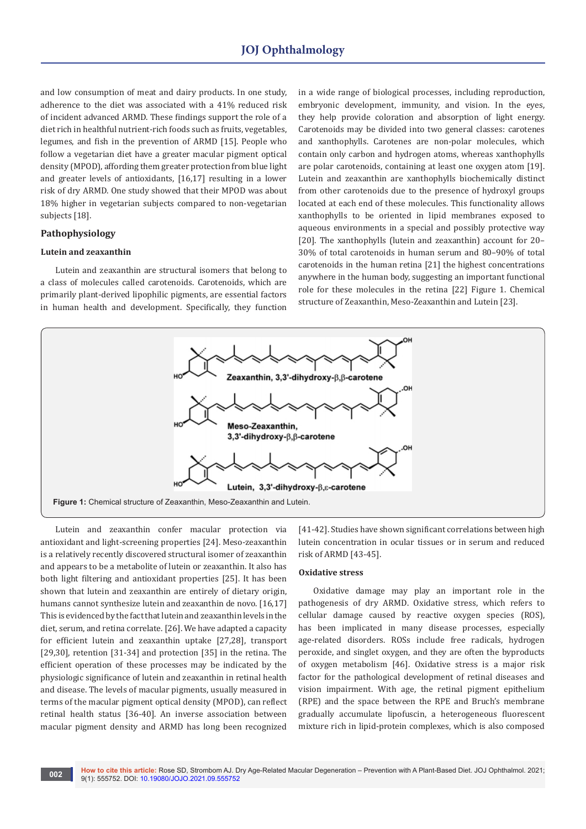and low consumption of meat and dairy products. In one study, adherence to the diet was associated with a 41% reduced risk of incident advanced ARMD. These findings support the role of a diet rich in healthful nutrient-rich foods such as fruits, vegetables, legumes, and fish in the prevention of ARMD [15]. People who follow a vegetarian diet have a greater macular pigment optical density (MPOD), affording them greater protection from blue light and greater levels of antioxidants, [16,17] resulting in a lower risk of dry ARMD. One study showed that their MPOD was about 18% higher in vegetarian subjects compared to non-vegetarian subjects [18].

# **Pathophysiology**

## **Lutein and zeaxanthin**

Lutein and zeaxanthin are structural isomers that belong to a class of molecules called carotenoids. Carotenoids, which are primarily plant-derived lipophilic pigments, are essential factors in human health and development. Specifically, they function

in a wide range of biological processes, including reproduction, embryonic development, immunity, and vision. In the eyes, they help provide coloration and absorption of light energy. Carotenoids may be divided into two general classes: carotenes and xanthophylls. Carotenes are non-polar molecules, which contain only carbon and hydrogen atoms, whereas xanthophylls are polar carotenoids, containing at least one oxygen atom [19]. Lutein and zeaxanthin are xanthophylls biochemically distinct from other carotenoids due to the presence of hydroxyl groups located at each end of these molecules. This functionality allows xanthophylls to be oriented in lipid membranes exposed to aqueous environments in a special and possibly protective way [20]. The xanthophylls (lutein and zeaxanthin) account for 20– 30% of total carotenoids in human serum and 80–90% of total carotenoids in the human retina [21] the highest concentrations anywhere in the human body, suggesting an important functional role for these molecules in the retina [22] Figure 1. Chemical structure of Zeaxanthin, Meso-Zeaxanthin and Lutein [23].



Lutein and zeaxanthin confer macular protection via antioxidant and light-screening properties [24]. Meso-zeaxanthin is a relatively recently discovered structural isomer of zeaxanthin and appears to be a metabolite of lutein or zeaxanthin. It also has both light filtering and antioxidant properties [25]. It has been shown that lutein and zeaxanthin are entirely of dietary origin, humans cannot synthesize lutein and zeaxanthin de novo. [16,17] This is evidenced by the fact that lutein and zeaxanthin levels in the diet, serum, and retina correlate. [26]. We have adapted a capacity for efficient lutein and zeaxanthin uptake [27,28], transport [29,30], retention [31-34] and protection [35] in the retina. The efficient operation of these processes may be indicated by the physiologic significance of lutein and zeaxanthin in retinal health and disease. The levels of macular pigments, usually measured in terms of the macular pigment optical density (MPOD), can reflect retinal health status [36-40]. An inverse association between macular pigment density and ARMD has long been recognized

[41-42]. Studies have shown significant correlations between high lutein concentration in ocular tissues or in serum and reduced risk of ARMD [43-45].

### **Oxidative stress**

Oxidative damage may play an important role in the pathogenesis of dry ARMD. Oxidative stress, which refers to cellular damage caused by reactive oxygen species (ROS), has been implicated in many disease processes, especially age-related disorders. ROSs include free radicals, hydrogen peroxide, and singlet oxygen, and they are often the byproducts of oxygen metabolism [46]. Oxidative stress is a major risk factor for the pathological development of retinal diseases and vision impairment. With age, the retinal pigment epithelium (RPE) and the space between the RPE and Bruch's membrane gradually accumulate lipofuscin, a heterogeneous fluorescent mixture rich in lipid-protein complexes, which is also composed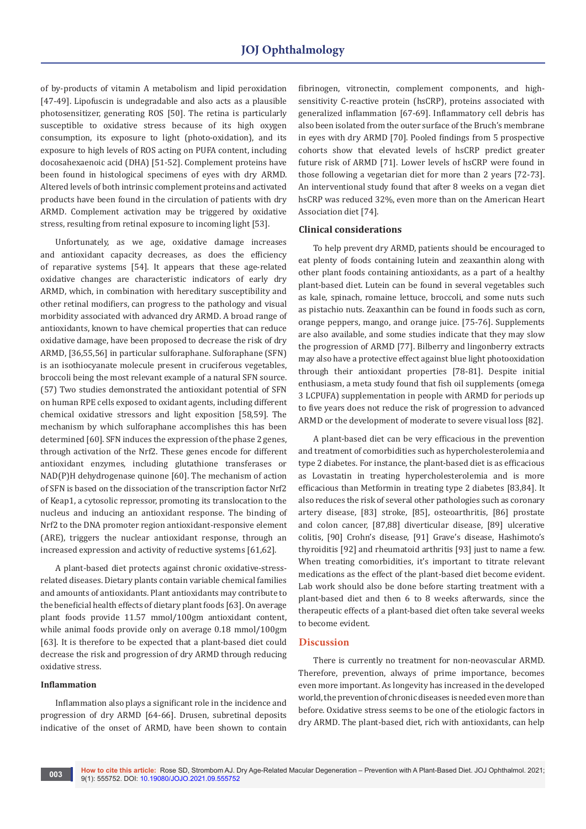of by-products of vitamin A metabolism and lipid peroxidation [47-49]. Lipofuscin is undegradable and also acts as a plausible photosensitizer, generating ROS [50]. The retina is particularly susceptible to oxidative stress because of its high oxygen consumption, its exposure to light (photo-oxidation), and its exposure to high levels of ROS acting on PUFA content, including docosahexaenoic acid (DHA) [51-52]. Complement proteins have been found in histological specimens of eyes with dry ARMD. Altered levels of both intrinsic complement proteins and activated products have been found in the circulation of patients with dry ARMD. Complement activation may be triggered by oxidative stress, resulting from retinal exposure to incoming light [53].

Unfortunately, as we age, oxidative damage increases and antioxidant capacity decreases, as does the efficiency of reparative systems [54]. It appears that these age-related oxidative changes are characteristic indicators of early dry ARMD, which, in combination with hereditary susceptibility and other retinal modifiers, can progress to the pathology and visual morbidity associated with advanced dry ARMD. A broad range of antioxidants, known to have chemical properties that can reduce oxidative damage, have been proposed to decrease the risk of dry ARMD, [36,55,56] in particular sulforaphane. Sulforaphane (SFN) is an isothiocyanate molecule present in cruciferous vegetables, broccoli being the most relevant example of a natural SFN source. (57) Two studies demonstrated the antioxidant potential of SFN on human RPE cells exposed to oxidant agents, including different chemical oxidative stressors and light exposition [58,59]. The mechanism by which sulforaphane accomplishes this has been determined [60]. SFN induces the expression of the phase 2 genes, through activation of the Nrf2. These genes encode for different antioxidant enzymes, including glutathione transferases or NAD(P)H dehydrogenase quinone [60]. The mechanism of action of SFN is based on the dissociation of the transcription factor Nrf2 of Keap1, a cytosolic repressor, promoting its translocation to the nucleus and inducing an antioxidant response. The binding of Nrf2 to the DNA promoter region antioxidant-responsive element (ARE), triggers the nuclear antioxidant response, through an increased expression and activity of reductive systems [61,62].

A plant-based diet protects against chronic oxidative-stressrelated diseases. Dietary plants contain variable chemical families and amounts of antioxidants. Plant antioxidants may contribute to the beneficial health effects of dietary plant foods [63]. On average plant foods provide 11.57 mmol/100gm antioxidant content, while animal foods provide only on average 0.18 mmol/100gm [63]. It is therefore to be expected that a plant-based diet could decrease the risk and progression of dry ARMD through reducing oxidative stress.

#### **Inflammation**

Inflammation also plays a significant role in the incidence and progression of dry ARMD [64-66]. Drusen, subretinal deposits indicative of the onset of ARMD, have been shown to contain fibrinogen, vitronectin, complement components, and highsensitivity C-reactive protein (hsCRP), proteins associated with generalized inflammation [67-69]. Inflammatory cell debris has also been isolated from the outer surface of the Bruch's membrane in eyes with dry ARMD [70]. Pooled findings from 5 prospective cohorts show that elevated levels of hsCRP predict greater future risk of ARMD [71]. Lower levels of hsCRP were found in those following a vegetarian diet for more than 2 years [72-73]. An interventional study found that after 8 weeks on a vegan diet hsCRP was reduced 32%, even more than on the American Heart Association diet [74].

#### **Clinical considerations**

To help prevent dry ARMD, patients should be encouraged to eat plenty of foods containing lutein and zeaxanthin along with other plant foods containing antioxidants, as a part of a healthy plant-based diet. Lutein can be found in several vegetables such as kale, spinach, romaine lettuce, broccoli, and some nuts such as pistachio nuts. Zeaxanthin can be found in foods such as corn, orange peppers, mango, and orange juice. [75-76]. Supplements are also available, and some studies indicate that they may slow the progression of ARMD [77]. Bilberry and lingonberry extracts may also have a protective effect against blue light photooxidation through their antioxidant properties [78-81]. Despite initial enthusiasm, a meta study found that fish oil supplements (omega 3 LCPUFA) supplementation in people with ARMD for periods up to five years does not reduce the risk of progression to advanced ARMD or the development of moderate to severe visual loss [82].

A plant-based diet can be very efficacious in the prevention and treatment of comorbidities such as hypercholesterolemia and type 2 diabetes. For instance, the plant-based diet is as efficacious as Lovastatin in treating hypercholesterolemia and is more efficacious than Metformin in treating type 2 diabetes [83,84]. It also reduces the risk of several other pathologies such as coronary artery disease, [83] stroke, [85], osteoarthritis, [86] prostate and colon cancer, [87,88] diverticular disease, [89] ulcerative colitis, [90] Crohn's disease, [91] Grave's disease, Hashimoto's thyroiditis [92] and rheumatoid arthritis [93] just to name a few. When treating comorbidities, it's important to titrate relevant medications as the effect of the plant-based diet become evident. Lab work should also be done before starting treatment with a plant-based diet and then 6 to 8 weeks afterwards, since the therapeutic effects of a plant-based diet often take several weeks to become evident.

#### **Discussion**

There is currently no treatment for non-neovascular ARMD. Therefore, prevention, always of prime importance, becomes even more important. As longevity has increased in the developed world, the prevention of chronic diseases is needed even more than before. Oxidative stress seems to be one of the etiologic factors in dry ARMD. The plant-based diet, rich with antioxidants, can help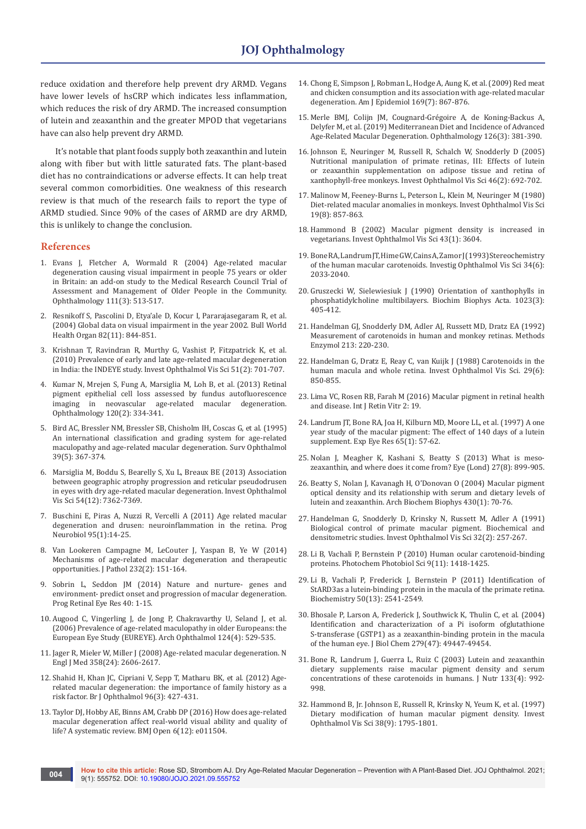reduce oxidation and therefore help prevent dry ARMD. Vegans have lower levels of hsCRP which indicates less inflammation, which reduces the risk of dry ARMD. The increased consumption of lutein and zeaxanthin and the greater MPOD that vegetarians have can also help prevent dry ARMD.

It's notable that plant foods supply both zeaxanthin and lutein along with fiber but with little saturated fats. The plant-based diet has no contraindications or adverse effects. It can help treat several common comorbidities. One weakness of this research review is that much of the research fails to report the type of ARMD studied. Since 90% of the cases of ARMD are dry ARMD, this is unlikely to change the conclusion.

#### **References**

- 1. [Evans J, Fletcher A, Wormald R \(2004\) Age-related macular](https://pubmed.ncbi.nlm.nih.gov/15019328/)  [degeneration causing visual impairment in people 75 years or older](https://pubmed.ncbi.nlm.nih.gov/15019328/)  [in Britain: an add-on study to the Medical Research Council Trial of](https://pubmed.ncbi.nlm.nih.gov/15019328/)  [Assessment and Management of Older People in the Community.](https://pubmed.ncbi.nlm.nih.gov/15019328/)  [Ophthalmology 111\(3\): 513-517.](https://pubmed.ncbi.nlm.nih.gov/15019328/)
- 2. [Resnikoff S, Pascolini D, Etya'ale D, Kocur I, Pararajasegaram R, et al.](https://pubmed.ncbi.nlm.nih.gov/15640920/)  [\(2004\) Global data on visual impairment in the year 2002. Bull World](https://pubmed.ncbi.nlm.nih.gov/15640920/)  [Health Organ 82\(11\): 844-851.](https://pubmed.ncbi.nlm.nih.gov/15640920/)
- 3. [Krishnan T, Ravindran R, Murthy G, Vashist P, Fitzpatrick K, et al.](https://pubmed.ncbi.nlm.nih.gov/19696177/)  [\(2010\) Prevalence of early and late age-related macular degeneration](https://pubmed.ncbi.nlm.nih.gov/19696177/)  [in India: the INDEYE study. Invest Ophthalmol Vis Sci 51\(2\): 701-707.](https://pubmed.ncbi.nlm.nih.gov/19696177/)
- 4. [Kumar N, Mrejen S, Fung A, Marsiglia M, Loh B, et al. \(2013\) Retinal](https://pubmed.ncbi.nlm.nih.gov/23137630/)  [pigment epithelial cell loss assessed by fundus autofluorescence](https://pubmed.ncbi.nlm.nih.gov/23137630/)  [imaging in neovascular age-related macular degeneration.](https://pubmed.ncbi.nlm.nih.gov/23137630/)  [Ophthalmology 120\(2\): 334-341.](https://pubmed.ncbi.nlm.nih.gov/23137630/)
- 5. [Bird AC, Bressler NM, Bressler SB, Chisholm IH, Coscas G, et al. \(1995\)](https://pubmed.ncbi.nlm.nih.gov/7604360/)  [An international classification and grading system for age-related](https://pubmed.ncbi.nlm.nih.gov/7604360/)  [maculopathy and age-related macular degeneration. Surv Ophthalmol](https://pubmed.ncbi.nlm.nih.gov/7604360/)  [39\(5\): 367-374.](https://pubmed.ncbi.nlm.nih.gov/7604360/)
- 6. [Marsiglia M, Boddu S, Bearelly S, Xu L, Breaux BE \(2013\) Association](https://pubmed.ncbi.nlm.nih.gov/24114542/)  [between geographic atrophy progression and reticular pseudodrusen](https://pubmed.ncbi.nlm.nih.gov/24114542/)  [in eyes with dry age-related macular degeneration. Invest Ophthalmol](https://pubmed.ncbi.nlm.nih.gov/24114542/)  [Vis Sci 54\(12\): 7362-7369.](https://pubmed.ncbi.nlm.nih.gov/24114542/)
- 7. [Buschini E, Piras A, Nuzzi R, Vercelli A \(2011\) Age related macular](https://pubmed.ncbi.nlm.nih.gov/21740956/)  [degeneration and drusen: neuroinflammation in the retina. Prog](https://pubmed.ncbi.nlm.nih.gov/21740956/)  [Neurobiol 95\(1\):14-25.](https://pubmed.ncbi.nlm.nih.gov/21740956/)
- 8. [Van Lookeren Campagne M, LeCouter J, Yaspan B, Ye W \(2014\)](https://pubmed.ncbi.nlm.nih.gov/24105633/)  [Mechanisms of age-related macular degeneration and therapeutic](https://pubmed.ncbi.nlm.nih.gov/24105633/)  [opportunities. J Pathol 232\(2\): 151-164.](https://pubmed.ncbi.nlm.nih.gov/24105633/)
- 9. [Sobrin L, Seddon JM \(2014\) Nature and nurture- genes and](https://pubmed.ncbi.nlm.nih.gov/24374240/)  [environment- predict onset and progression of macular degeneration.](https://pubmed.ncbi.nlm.nih.gov/24374240/)  [Prog Retinal Eye Res 40: 1-15.](https://pubmed.ncbi.nlm.nih.gov/24374240/)
- 10. [Augood C, Vingerling J, de Jong P, Chakravarthy U, Seland J, et al.](https://pubmed.ncbi.nlm.nih.gov/16606879/)  [\(2006\) Prevalence of age-related maculopathy in older Europeans: the](https://pubmed.ncbi.nlm.nih.gov/16606879/)  [European Eye Study \(EUREYE\). Arch Ophthalmol 124\(4\): 529-535.](https://pubmed.ncbi.nlm.nih.gov/16606879/)
- 11. [Jager R, Mieler W, Miller J \(2008\) Age-related macular degeneration. N](https://pubmed.ncbi.nlm.nih.gov/18550876/)  [Engl J Med 358\(24\): 2606-2617.](https://pubmed.ncbi.nlm.nih.gov/18550876/)
- 12. [Shahid H, Khan JC, Cipriani V, Sepp T, Matharu BK, et al. \(2012\) Age](https://bjo.bmj.com/content/96/3/427)[related macular degeneration: the importance of family history as a](https://bjo.bmj.com/content/96/3/427)  [risk factor. Br J Ophthalmol 96\(3\): 427-431.](https://bjo.bmj.com/content/96/3/427)
- 13. [Taylor DJ, Hobby AE, Binns AM, Crabb DP \(2016\) How does age-related](https://pubmed.ncbi.nlm.nih.gov/27913556/)  [macular degeneration affect real-world visual ability and quality of](https://pubmed.ncbi.nlm.nih.gov/27913556/)  [life? A systematic review. BMJ Open 6\(12\): e011504.](https://pubmed.ncbi.nlm.nih.gov/27913556/)
- 14. [Chong E, Simpson J, Robman L, Hodge A, Aung K, et al. \(2009\) Red meat](https://pubmed.ncbi.nlm.nih.gov/19234096/)  [and chicken consumption and its association with age-related macular](https://pubmed.ncbi.nlm.nih.gov/19234096/)  [degeneration. Am J Epidemiol 169\(7\): 867-876.](https://pubmed.ncbi.nlm.nih.gov/19234096/)
- 15. [Merle BMJ, Colijn JM, Cougnard-Grégoire A, de Koning-Backus A,](https://pubmed.ncbi.nlm.nih.gov/30114418/)  [Delyfer M, et al. \(2019\) Mediterranean Diet and Incidence of Advanced](https://pubmed.ncbi.nlm.nih.gov/30114418/)  [Age-Related Macular Degeneration. Ophthalmology 126\(3\): 381-390.](https://pubmed.ncbi.nlm.nih.gov/30114418/)
- 16. [Johnson E, Neuringer M, Russell R, Schalch W, Snodderly D \(2005\)](https://pubmed.ncbi.nlm.nih.gov/15671301/)  [Nutritional manipulation of primate retinas, III: Effects of lutein](https://pubmed.ncbi.nlm.nih.gov/15671301/)  [or zeaxanthin supplementation on adipose tissue and retina of](https://pubmed.ncbi.nlm.nih.gov/15671301/)  [xanthophyll-free monkeys. Invest Ophthalmol Vis Sci 46\(2\): 692-702.](https://pubmed.ncbi.nlm.nih.gov/15671301/)
- 17. [Malinow M, Feeney-Burns L, Peterson L, Klein M, Neuringer M \(1980\)](https://iovs.arvojournals.org/article.aspx?articleid=2176115)  [Diet-related macular anomalies in monkeys. Invest Ophthalmol Vis Sci](https://iovs.arvojournals.org/article.aspx?articleid=2176115)  [19\(8\): 857-863.](https://iovs.arvojournals.org/article.aspx?articleid=2176115)
- 18. [Hammond B \(2002\) Macular pigment density is increased in](https://pubmed.ncbi.nlm.nih.gov/11773011/)  [vegetarians. Invest Ophthalmol Vis Sci 43\(1\): 3604.](https://pubmed.ncbi.nlm.nih.gov/11773011/)
- 19. Bone RA, Landrum JT, Hime GW, Cains A, Zamor J (1993) Stereochemistry [of the human macular carotenoids. Investig Ophthalmol Vis Sci 34\(6\):](https://pubmed.ncbi.nlm.nih.gov/8491553/)  [2033-2040.](https://pubmed.ncbi.nlm.nih.gov/8491553/)
- 20. [Gruszecki W, Sielewiesiuk J \(1990\) Orientation of xanthophylls in](https://www.sciencedirect.com/science/article/abs/pii/0005273690901339)  [phosphatidylcholine multibilayers. Biochim Biophys Acta. 1023\(3\):](https://www.sciencedirect.com/science/article/abs/pii/0005273690901339)  [405-412.](https://www.sciencedirect.com/science/article/abs/pii/0005273690901339)
- 21. [Handelman GJ, Snodderly DM, Adler AJ, Russett MD, Dratz EA \(1992\)](https://pubmed.ncbi.nlm.nih.gov/1435304/)  [Measurement of carotenoids in human and monkey retinas. Methods](https://pubmed.ncbi.nlm.nih.gov/1435304/)  [Enzymol 213: 220-230.](https://pubmed.ncbi.nlm.nih.gov/1435304/)
- 22. [Handelman G, Dratz E, Reay C, van Kuijk J \(1988\) Carotenoids in the](https://pubmed.ncbi.nlm.nih.gov/3372162/)  [human macula and whole retina. Invest Ophthalmol Vis Sci. 29\(6\):](https://pubmed.ncbi.nlm.nih.gov/3372162/)  [850-855.](https://pubmed.ncbi.nlm.nih.gov/3372162/)
- 23. [Lima VC, Rosen RB, Farah M \(2016\) Macular pigment in retinal health](https://pubmed.ncbi.nlm.nih.gov/27847637/)  [and disease. Int J Retin Vitr 2: 19.](https://pubmed.ncbi.nlm.nih.gov/27847637/)
- 24. [Landrum JT, Bone RA, Joa H, Kilburn MD, Moore LL, et al. \(1997\) A one](https://pubmed.ncbi.nlm.nih.gov/9237865/)  [year study of the macular pigment: The effect of 140 days of a lutein](https://pubmed.ncbi.nlm.nih.gov/9237865/)  [supplement. Exp Eye Res 65\(1\): 57-62.](https://pubmed.ncbi.nlm.nih.gov/9237865/)
- 25. [Nolan J, Meagher K, Kashani S, Beatty S \(2013\) What is meso](https://pubmed.ncbi.nlm.nih.gov/23703634/)[zeaxanthin, and where does it come from? Eye \(Lond\) 27\(8\): 899-905.](https://pubmed.ncbi.nlm.nih.gov/23703634/)
- 26. [Beatty S, Nolan J, Kavanagh H, O'Donovan O \(2004\) Macular pigment](https://pubmed.ncbi.nlm.nih.gov/15325913/)  [optical density and its relationship with serum and dietary levels of](https://pubmed.ncbi.nlm.nih.gov/15325913/)  [lutein and zeaxanthin. Arch Biochem Biophys 430\(1\): 70-76.](https://pubmed.ncbi.nlm.nih.gov/15325913/)
- 27. [Handelman G, Snodderly D, Krinsky N, Russett M, Adler A \(1991\)](https://pubmed.ncbi.nlm.nih.gov/1993576/)  [Biological control of primate macular pigment. Biochemical and](https://pubmed.ncbi.nlm.nih.gov/1993576/)  [densitometric studies. Invest Ophthalmol Vis Sci 32\(2\): 257-267.](https://pubmed.ncbi.nlm.nih.gov/1993576/)
- 28. [Li B, Vachali P, Bernstein P \(2010\) Human ocular carotenoid-binding](https://pubmed.ncbi.nlm.nih.gov/20820671/)  [proteins. Photochem Photobiol Sci 9\(11\): 1418-1425.](https://pubmed.ncbi.nlm.nih.gov/20820671/)
- 29. [Li B, Vachali P, Frederick J, Bernstein P \(2011\) Identification of](https://pubmed.ncbi.nlm.nih.gov/21322544/)  [StARD3as a lutein-binding protein in the macula of the primate retina.](https://pubmed.ncbi.nlm.nih.gov/21322544/)  [Biochemistry 50\(13\): 2541-2549.](https://pubmed.ncbi.nlm.nih.gov/21322544/)
- 30. [Bhosale P, Larson A, Frederick J, Southwick K, Thulin C, et al. \(2004\)](https://pubmed.ncbi.nlm.nih.gov/15355982/)  [Identification and characterization of a Pi isoform ofglutathione](https://pubmed.ncbi.nlm.nih.gov/15355982/)  [S-transferase \(GSTP1\) as a zeaxanthin-binding protein in the macula](https://pubmed.ncbi.nlm.nih.gov/15355982/)  [of the human eye. J Biol Chem 279\(47\): 49447-49454.](https://pubmed.ncbi.nlm.nih.gov/15355982/)
- 31. [Bone R, Landrum J, Guerra L, Ruiz C \(2003\) Lutein and zeaxanthin](https://pubmed.ncbi.nlm.nih.gov/12672909/)  [dietary supplements raise macular pigment density and serum](https://pubmed.ncbi.nlm.nih.gov/12672909/)  [concentrations of these carotenoids in humans. J Nutr 133\(4\): 992-](https://pubmed.ncbi.nlm.nih.gov/12672909/) [998.](https://pubmed.ncbi.nlm.nih.gov/12672909/)
- 32. [Hammond B, Jr. Johnson E, Russell R, Krinsky N, Yeum K, et al. \(1997\)](https://pubmed.ncbi.nlm.nih.gov/9286268/)  [Dietary modification of human macular pigment density. Invest](https://pubmed.ncbi.nlm.nih.gov/9286268/)  [Ophthalmol Vis Sci 38\(9\): 1795-1801.](https://pubmed.ncbi.nlm.nih.gov/9286268/)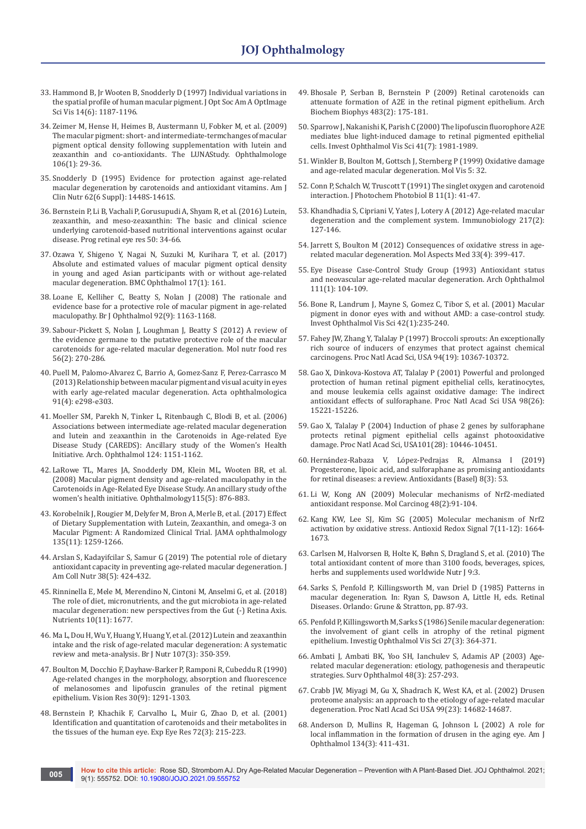- 33. [Hammond B, Jr Wooten B, Snodderly D \(1997\) Individual variations in](https://pubmed.ncbi.nlm.nih.gov/9168592/)  [the spatial profile of human macular pigment. J Opt Soc Am A OptImage](https://pubmed.ncbi.nlm.nih.gov/9168592/)  [Sci Vis 14\(6\): 1187-1196.](https://pubmed.ncbi.nlm.nih.gov/9168592/)
- 34. [Zeimer M, Hense H, Heimes B, Austermann U, Fobker M, et al. \(2009\)](https://pubmed.ncbi.nlm.nih.gov/18551295/)  [The macular pigment: short- and intermediate-termchanges of macular](https://pubmed.ncbi.nlm.nih.gov/18551295/)  [pigment optical density following supplementation with lutein and](https://pubmed.ncbi.nlm.nih.gov/18551295/)  [zeaxanthin and co-antioxidants. The LUNAStudy. Ophthalmologe](https://pubmed.ncbi.nlm.nih.gov/18551295/)  [106\(1\): 29-36.](https://pubmed.ncbi.nlm.nih.gov/18551295/)
- 35. [Snodderly D \(1995\) Evidence for protection against age-related](https://pubmed.ncbi.nlm.nih.gov/7495246/)  [macular degeneration by carotenoids and antioxidant vitamins. Am J](https://pubmed.ncbi.nlm.nih.gov/7495246/)  [Clin Nutr 62\(6 Suppl\): 1448S-1461S.](https://pubmed.ncbi.nlm.nih.gov/7495246/)
- 36. [Bernstein P, Li B, Vachali P, Gorusupudi A, Shyam R, et al. \(2016\) Lutein,](https://pubmed.ncbi.nlm.nih.gov/26541886/)  [zeaxanthin, and meso-zeaxanthin: The basic and clinical science](https://pubmed.ncbi.nlm.nih.gov/26541886/)  [underlying carotenoid-based nutritional interventions against ocular](https://pubmed.ncbi.nlm.nih.gov/26541886/)  [disease. Prog retinal eye res 50: 34-66.](https://pubmed.ncbi.nlm.nih.gov/26541886/)
- 37. Ozawa Y, Shigeno Y, Nagai N, Suzuki M, Kurihara T, et al. (2017) Absolute and estimated values of macular pigment optical density in young and aged Asian participants with or without age-related macular degeneration. BMC Ophthalmol 17(1): 161.
- 38. [Loane E, Kelliher C, Beatty S, Nolan J \(2008\) The rationale and](https://pubmed.ncbi.nlm.nih.gov/18669545/)  [evidence base for a protective role of macular pigment in age-related](https://pubmed.ncbi.nlm.nih.gov/18669545/)  [maculopathy. Br J Ophthalmol 92\(9\): 1163-1168.](https://pubmed.ncbi.nlm.nih.gov/18669545/)
- 39. [Sabour-Pickett S, Nolan J, Loughman J, Beatty S \(2012\) A review of](https://pubmed.ncbi.nlm.nih.gov/22121091/)  [the evidence germane to the putative protective role of the macular](https://pubmed.ncbi.nlm.nih.gov/22121091/)  [carotenoids for age-related macular degeneration. Mol nutr food res](https://pubmed.ncbi.nlm.nih.gov/22121091/)  [56\(2\): 270-286.](https://pubmed.ncbi.nlm.nih.gov/22121091/)
- 40. [Puell M, Palomo-Alvarez C, Barrio A, Gomez-Sanz F, Perez-Carrasco M](https://pubmed.ncbi.nlm.nih.gov/23575039/)  [\(2013\) Relationship between macular pigment and visual acuity in eyes](https://pubmed.ncbi.nlm.nih.gov/23575039/)  [with early age-related macular degeneration. Acta ophthalmologica](https://pubmed.ncbi.nlm.nih.gov/23575039/)  [91\(4\): e298-e303.](https://pubmed.ncbi.nlm.nih.gov/23575039/)
- 41. Moeller SM, Parekh N, Tinker L, Ritenbaugh C, Blodi B, et al. (2006) Associations between intermediate age-related macular degeneration and lutein and zeaxanthin in the Carotenoids in Age-related Eye Disease Study (CAREDS): Ancillary study of the Women's Health Initiative. Arch. Ophthalmol 124: 1151-1162.
- 42. [LaRowe TL, Mares JA, Snodderly DM, Klein ML, Wooten BR, et al.](https://pubmed.ncbi.nlm.nih.gov/17868874/)  [\(2008\) Macular pigment density and age-related maculopathy in the](https://pubmed.ncbi.nlm.nih.gov/17868874/)  [Carotenoids in Age-Related Eye Disease Study. An ancillary study of the](https://pubmed.ncbi.nlm.nih.gov/17868874/)  [women's health initiative. Ophthalmology115\(5\): 876-883.](https://pubmed.ncbi.nlm.nih.gov/17868874/)
- 43. [Korobelnik J, Rougier M, Delyfer M, Bron A, Merle B, et al. \(2017\) Effect](https://pubmed.ncbi.nlm.nih.gov/28973076/)  [of Dietary Supplementation with Lutein, Zeaxanthin, and omega-3 on](https://pubmed.ncbi.nlm.nih.gov/28973076/)  [Macular Pigment: A Randomized Clinical Trial. JAMA ophthalmology](https://pubmed.ncbi.nlm.nih.gov/28973076/)  [135\(11\): 1259-1266.](https://pubmed.ncbi.nlm.nih.gov/28973076/)
- 44. [Arslan S, Kadayifcilar S, Samur G \(2019\) The potential role of dietary](https://pubmed.ncbi.nlm.nih.gov/30570376/)  [antioxidant capacity in preventing age-related macular degeneration. J](https://pubmed.ncbi.nlm.nih.gov/30570376/)  [Am Coll Nutr 38\(5\): 424-432.](https://pubmed.ncbi.nlm.nih.gov/30570376/)
- 45. [Rinninella E, Mele M, Merendino N, Cintoni M, Anselmi G, et al. \(2018\)](https://pubmed.ncbi.nlm.nih.gov/30400586/)  [The role of diet, micronutrients, and the gut microbiota in age-related](https://pubmed.ncbi.nlm.nih.gov/30400586/)  [macular degeneration: new perspectives from the Gut \(-\) Retina Axis.](https://pubmed.ncbi.nlm.nih.gov/30400586/)  [Nutrients 10\(11\): 1677.](https://pubmed.ncbi.nlm.nih.gov/30400586/)
- 46. [Ma L, Dou H, Wu Y, Huang Y, Huang Y, et al. \(2012\) Lutein and zeaxanthin](https://pubmed.ncbi.nlm.nih.gov/21899805/)  [intake and the risk of age-related macular degeneration: A systematic](https://pubmed.ncbi.nlm.nih.gov/21899805/)  [review and meta-analysis. Br J Nutr 107\(3\): 350-359.](https://pubmed.ncbi.nlm.nih.gov/21899805/)
- 47. [Boulton M, Docchio F, Dayhaw-Barker P, Ramponi R, Cubeddu R \(1990\)](https://pubmed.ncbi.nlm.nih.gov/2219746/)  [Age-related changes in the morphology, absorption and fluorescence](https://pubmed.ncbi.nlm.nih.gov/2219746/)  [of melanosomes and lipofuscin granules of the retinal pigment](https://pubmed.ncbi.nlm.nih.gov/2219746/)  [epithelium. Vision Res 30\(9\): 1291-1303.](https://pubmed.ncbi.nlm.nih.gov/2219746/)
- 48. [Bernstein P, Khachik F, Carvalho L, Muir G, Zhao D, et al. \(2001\)](https://pubmed.ncbi.nlm.nih.gov/11180970/)  [Identification and quantitation of carotenoids and their metabolites in](https://pubmed.ncbi.nlm.nih.gov/11180970/)  [the tissues of the human eye. Exp Eye Res 72\(3\): 215-223.](https://pubmed.ncbi.nlm.nih.gov/11180970/)
- 49. [Bhosale P, Serban B, Bernstein P \(2009\) Retinal carotenoids can](https://pubmed.ncbi.nlm.nih.gov/18926795/)  [attenuate formation of A2E in the retinal pigment epithelium. Arch](https://pubmed.ncbi.nlm.nih.gov/18926795/)  [Biochem Biophys 483\(2\): 175-181.](https://pubmed.ncbi.nlm.nih.gov/18926795/)
- 50. [Sparrow J, Nakanishi K, Parish C \(2000\) The lipofuscin fluorophore A2E](https://pubmed.ncbi.nlm.nih.gov/10845625/)  [mediates blue light-induced damage to retinal pigmented epithelial](https://pubmed.ncbi.nlm.nih.gov/10845625/)  [cells. Invest Ophthalmol Vis Sci 41\(7\): 1981-1989.](https://pubmed.ncbi.nlm.nih.gov/10845625/)
- 51. [Winkler B, Boulton M, Gottsch J, Sternberg P \(1999\) Oxidative damage](https://pubmed.ncbi.nlm.nih.gov/10562656/)  [and age-related macular degeneration. Mol Vis 5: 32.](https://pubmed.ncbi.nlm.nih.gov/10562656/)
- 52. [Conn P, Schalch W, Truscott T \(1991\) The singlet oxygen and carotenoid](https://pubmed.ncbi.nlm.nih.gov/1791493/)  [interaction. J Photochem Photobiol B 11\(1\): 41-47.](https://pubmed.ncbi.nlm.nih.gov/1791493/)
- 53. [Khandhadia S, Cipriani V, Yates J, Lotery A \(2012\) Age-related macular](https://pubmed.ncbi.nlm.nih.gov/21868123/)  [degeneration and the complement system. Immunobiology 217\(2\):](https://pubmed.ncbi.nlm.nih.gov/21868123/)  [127-146.](https://pubmed.ncbi.nlm.nih.gov/21868123/)
- 54. [Jarrett S, Boulton M \(2012\) Consequences of oxidative stress in age](https://pubmed.ncbi.nlm.nih.gov/22510306/)[related macular degeneration. Mol Aspects Med 33\(4\): 399-417.](https://pubmed.ncbi.nlm.nih.gov/22510306/)
- 55. Eye Disease Case-Control Study Group (1993) Antioxidant status and neovascular age-related macular degeneration. Arch Ophthalmol 111(1): 104-109.
- 56. [Bone R, Landrum J, Mayne S, Gomez C, Tibor S, et al. \(2001\) Macular](https://pubmed.ncbi.nlm.nih.gov/11133874/)  [pigment in donor eyes with and without AMD: a case-control study.](https://pubmed.ncbi.nlm.nih.gov/11133874/)  [Invest Ophthalmol Vis Sci 42\(1\):235-240.](https://pubmed.ncbi.nlm.nih.gov/11133874/)
- 57. [Fahey JW, Zhang Y, Talalay P \(1997\) Broccoli sprouts: An exceptionally](https://pubmed.ncbi.nlm.nih.gov/9294217/)  [rich source of inducers of enzymes that protect against chemical](https://pubmed.ncbi.nlm.nih.gov/9294217/)  [carcinogens. Proc Natl Acad Sci, USA 94\(19\): 10367-10372.](https://pubmed.ncbi.nlm.nih.gov/9294217/)
- 58. Gao X, Dinkova-Kostova AT, Talalay P (2001) Powerful and prolonged protection of human retinal pigment epithelial cells, keratinocytes, and mouse leukemia cells against oxidative damage: The indirect antioxidant effects of sulforaphane. Proc Natl Acad Sci USA 98(26): 15221-15226.
- 59. [Gao X, Talalay P \(2004\) Induction of phase 2 genes by sulforaphane](https://pubmed.ncbi.nlm.nih.gov/15229324/)  [protects retinal pigment epithelial cells against photooxidative](https://pubmed.ncbi.nlm.nih.gov/15229324/)  [damage. Proc Natl Acad Sci, USA101\(28\): 10446-10451.](https://pubmed.ncbi.nlm.nih.gov/15229324/)
- 60. [Hernández-Rabaza V, López-Pedrajas R, Almansa I \(2019\)](https://pubmed.ncbi.nlm.nih.gov/30832304/)  [Progesterone, lipoic acid, and sulforaphane as promising antioxidants](https://pubmed.ncbi.nlm.nih.gov/30832304/)  [for retinal diseases: a review. Antioxidants \(Basel\) 8\(3\): 53.](https://pubmed.ncbi.nlm.nih.gov/30832304/)
- 61. [Li W, Kong AN \(2009\) Molecular mechanisms of Nrf2-mediated](https://pubmed.ncbi.nlm.nih.gov/18618599/)  [antioxidant response. Mol Carcinog 48\(2\):91-104.](https://pubmed.ncbi.nlm.nih.gov/18618599/)
- 62. [Kang KW, Lee SJ, Kim SG \(2005\) Molecular mechanism of Nrf2](https://pubmed.ncbi.nlm.nih.gov/16356128/)  [activation by oxidative stress. Antioxid Redox Signal 7\(11-12\): 1664-](https://pubmed.ncbi.nlm.nih.gov/16356128/) [1673.](https://pubmed.ncbi.nlm.nih.gov/16356128/)
- 63. [Carlsen M, Halvorsen B, Holte K, Bøhn S, Dragland S, et al. \(2010\) The](https://pubmed.ncbi.nlm.nih.gov/20096093/)  [total antioxidant content of more than 3100 foods, beverages, spices,](https://pubmed.ncbi.nlm.nih.gov/20096093/)  [herbs and supplements used worldwide Nutr J 9:3.](https://pubmed.ncbi.nlm.nih.gov/20096093/)
- 64. Sarks S, Penfold P, Killingsworth M, van Driel D (1985) Patterns in macular degeneration. In: Ryan S, Dawson A, Little H, eds. Retinal Diseases. Orlando: Grune & Stratton, pp. 87-93.
- 65. [Penfold P, Killingsworth M, Sarks S \(1986\) Senile macular degeneration:](https://iovs.arvojournals.org/article.aspx?articleid=2159751)  [the involvement of giant cells in atrophy of the retinal pigment](https://iovs.arvojournals.org/article.aspx?articleid=2159751)  [epithelium. Investig Ophthalmol Vis Sci 27\(3\): 364-371.](https://iovs.arvojournals.org/article.aspx?articleid=2159751)
- 66. [Ambati J, Ambati BK, Yoo SH, Ianchulev S, Adamis AP \(2003\) Age](https://pubmed.ncbi.nlm.nih.gov/12745003/)[related macular degeneration: etiology, pathogenesis and therapeutic](https://pubmed.ncbi.nlm.nih.gov/12745003/)  [strategies. Surv Ophthalmol 48\(3\): 257-293.](https://pubmed.ncbi.nlm.nih.gov/12745003/)
- 67. [Crabb JW, Miyagi M, Gu X, Shadrach K, West KA, et al. \(2002\) Drusen](https://pubmed.ncbi.nlm.nih.gov/12391305/)  [proteome analysis: an approach to the etiology of age-related macular](https://pubmed.ncbi.nlm.nih.gov/12391305/)  [degeneration. Proc Natl Acad Sci USA 99\(23\): 14682-14687.](https://pubmed.ncbi.nlm.nih.gov/12391305/)
- 68. [Anderson D, Mullins R, Hageman G, Johnson L \(2002\) A role for](https://pubmed.ncbi.nlm.nih.gov/12208254/)  [local inflammation in the formation of drusen in the aging eye. Am J](https://pubmed.ncbi.nlm.nih.gov/12208254/)  [Ophthalmol 134\(3\): 411-431.](https://pubmed.ncbi.nlm.nih.gov/12208254/)